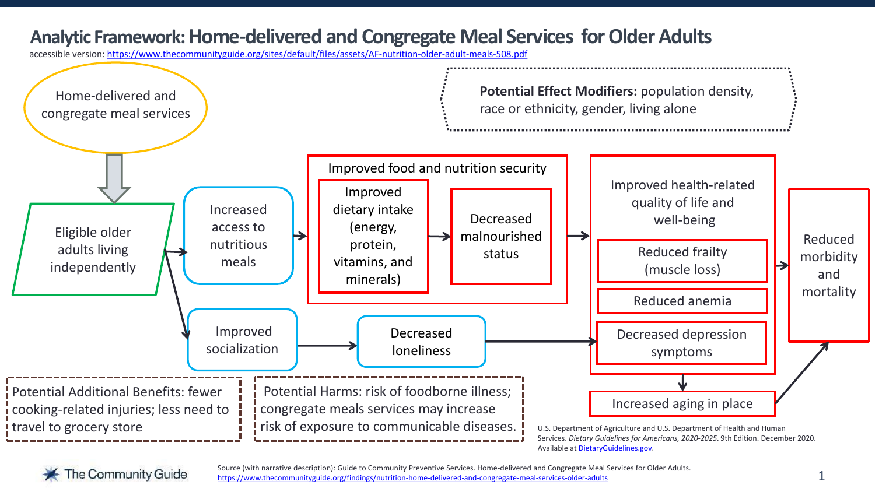## **Analytic Framework: Home-delivered and Congregate Meal Services for Older Adults**

accessible version: <https://www.thecommunityguide.org/sites/default/files/assets/AF-nutrition-older-adult-meals-508.pdf>





Source (with narrative description): Guide to Community Preventive Services. Home-delivered and Congregate Meal Services for Older Adults. <https://www.thecommunityguide.org/findings/nutrition-home-delivered-and-congregate-meal-services-older-adults>